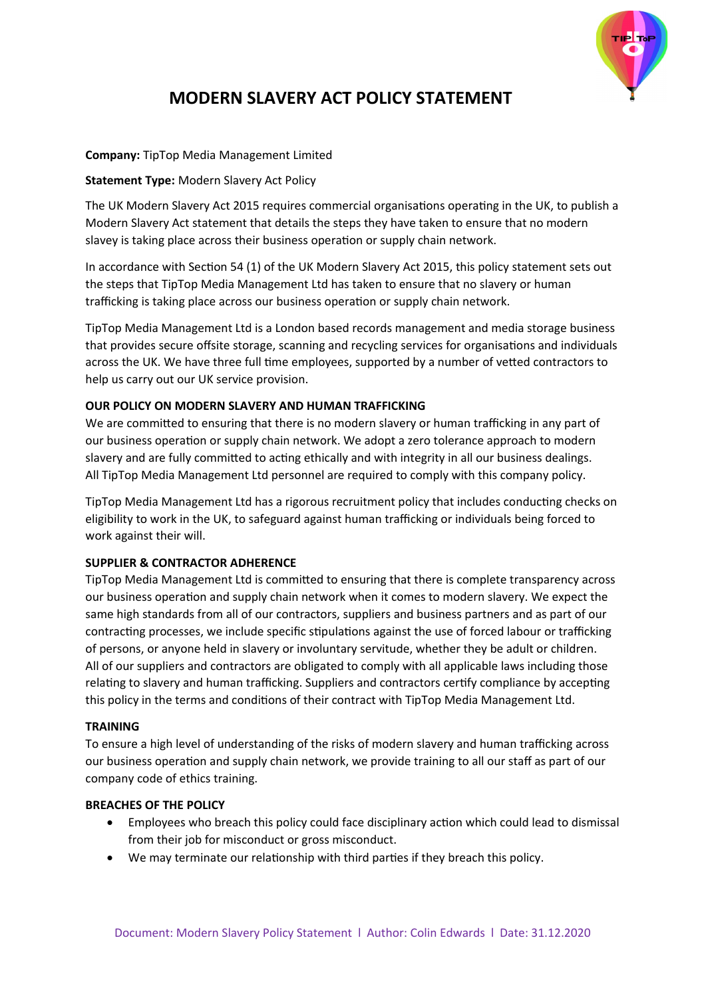

# **MODERN SLAVERY ACT POLICY STATEMENT**

## **Company:** TipTop Media Management Limited

## **Statement Type:** Modern Slavery Act Policy

The UK Modern Slavery Act 2015 requires commercial organisations operating in the UK, to publish a Modern Slavery Act statement that details the steps they have taken to ensure that no modern slavey is taking place across their business operation or supply chain network.

In accordance with Section 54 (1) of the UK Modern Slavery Act 2015, this policy statement sets out the steps that TipTop Media Management Ltd has taken to ensure that no slavery or human trafficking is taking place across our business operation or supply chain network.

TipTop Media Management Ltd is a London based records management and media storage business that provides secure offsite storage, scanning and recycling services for organisations and individuals across the UK. We have three full time employees, supported by a number of vetted contractors to help us carry out our UK service provision.

## **OUR POLICY ON MODERN SLAVERY AND HUMAN TRAFFICKING**

We are committed to ensuring that there is no modern slavery or human trafficking in any part of our business operation or supply chain network. We adopt a zero tolerance approach to modern slavery and are fully committed to acting ethically and with integrity in all our business dealings. All TipTop Media Management Ltd personnel are required to comply with this company policy.

TipTop Media Management Ltd has a rigorous recruitment policy that includes conducting checks on eligibility to work in the UK, to safeguard against human trafficking or individuals being forced to work against their will.

## **SUPPLIER & CONTRACTOR ADHERENCE**

TipTop Media Management Ltd is committed to ensuring that there is complete transparency across our business operation and supply chain network when it comes to modern slavery. We expect the same high standards from all of our contractors, suppliers and business partners and as part of our contracting processes, we include specific stipulations against the use of forced labour or trafficking of persons, or anyone held in slavery or involuntary servitude, whether they be adult or children. All of our suppliers and contractors are obligated to comply with all applicable laws including those relating to slavery and human trafficking. Suppliers and contractors certify compliance by accepting this policy in the terms and conditions of their contract with TipTop Media Management Ltd.

#### **TRAINING**

To ensure a high level of understanding of the risks of modern slavery and human trafficking across our business operation and supply chain network, we provide training to all our staff as part of our company code of ethics training.

#### **BREACHES OF THE POLICY**

- Employees who breach this policy could face disciplinary action which could lead to dismissal from their job for misconduct or gross misconduct.
- We may terminate our relationship with third parties if they breach this policy.